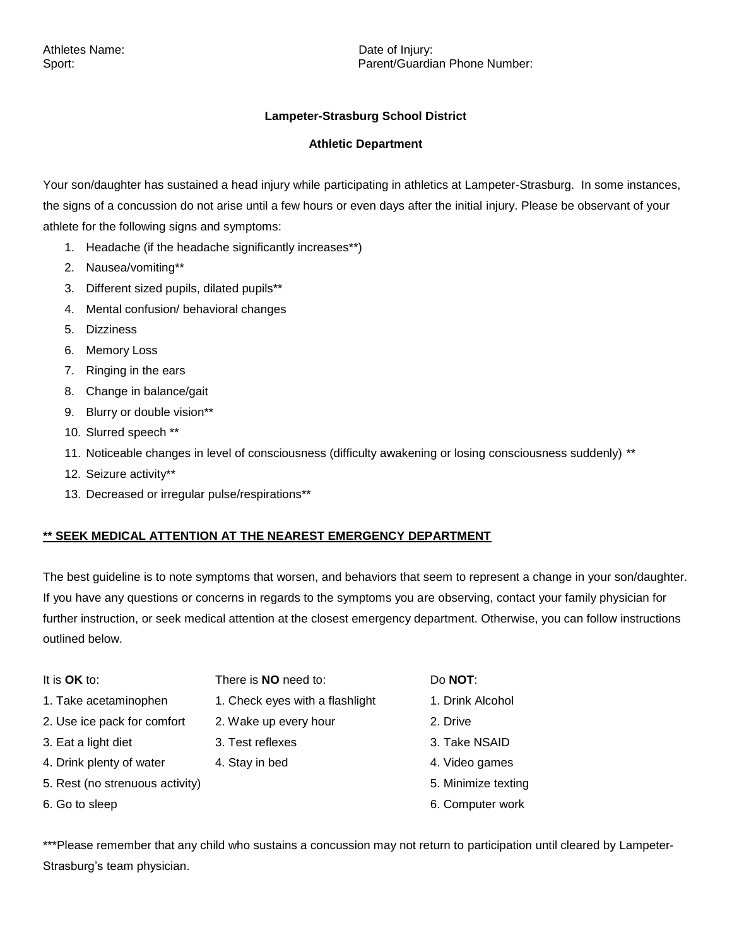Sport: **Parent/Guardian Phone Number:** Parent/Guardian Phone Number:

## **Lampeter-Strasburg School District**

## **Athletic Department**

Your son/daughter has sustained a head injury while participating in athletics at Lampeter-Strasburg. In some instances, the signs of a concussion do not arise until a few hours or even days after the initial injury. Please be observant of your athlete for the following signs and symptoms:

- 1. Headache (if the headache significantly increases\*\*)
- 2. Nausea/vomiting\*\*
- 3. Different sized pupils, dilated pupils\*\*
- 4. Mental confusion/ behavioral changes
- 5. Dizziness
- 6. Memory Loss
- 7. Ringing in the ears
- 8. Change in balance/gait
- 9. Blurry or double vision\*\*
- 10. Slurred speech \*\*
- 11. Noticeable changes in level of consciousness (difficulty awakening or losing consciousness suddenly) \*\*
- 12. Seizure activity\*\*
- 13. Decreased or irregular pulse/respirations\*\*

## **\*\* SEEK MEDICAL ATTENTION AT THE NEAREST EMERGENCY DEPARTMENT**

The best guideline is to note symptoms that worsen, and behaviors that seem to represent a change in your son/daughter. If you have any questions or concerns in regards to the symptoms you are observing, contact your family physician for further instruction, or seek medical attention at the closest emergency department. Otherwise, you can follow instructions outlined below.

- 
- 
- 2. Use ice pack for comfort 2. Wake up every hour 2. Drive
- 3. Eat a light diet **3. Test reflexes** 3. Test reflexes
- 4. Drink plenty of water 4. Stay in bed 4. Video games
- 5. Rest (no strenuous activity) 5. Minimize texting
- 

It is **OK** to: There is **NO** need to: Do **NOT**:

- 1. Take acetaminophen 1. Check eyes with a flashlight 1. Drink Alcohol
	-
	-
	-
	-

- 
- 
- 
- 
- 
- 6. Go to sleep 6. Computer work

\*\*\*Please remember that any child who sustains a concussion may not return to participation until cleared by Lampeter-Strasburg's team physician.